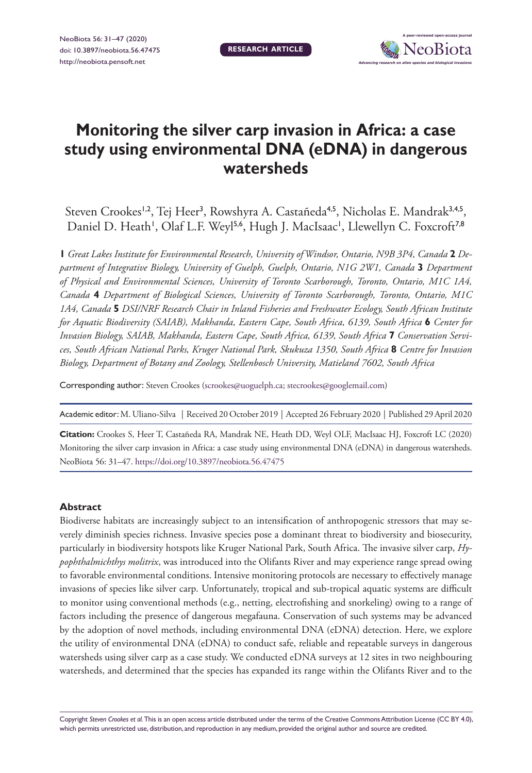# **Monitoring the silver carp invasion in Africa: a case study using environmental DNA (eDNA) in dangerous watersheds**

**RESEARCH ARTICLE**

Steven Crookes<sup>1,2</sup>, Tej Heer<sup>3</sup>, Rowshyra A. Castañeda<sup>4,5</sup>, Nicholas E. Mandrak<sup>3,4,5</sup>, Daniel D. Heath', Olaf L.F. Weyl<sup>5,6</sup>, Hugh J. MacIsaac', Llewellyn C. Foxcroft<sup>7,8</sup>

**1** *Great Lakes Institute for Environmental Research, University of Windsor, Ontario, N9B 3P4, Canada* **2** *Department of Integrative Biology, University of Guelph, Guelph, Ontario, N1G 2W1, Canada* **3** *Department of Physical and Environmental Sciences, University of Toronto Scarborough, Toronto, Ontario, M1C 1A4, Canada* **4** *Department of Biological Sciences, University of Toronto Scarborough, Toronto, Ontario, M1C 1A4, Canada* **5** *DSI/NRF Research Chair in Inland Fisheries and Freshwater Ecology, South African Institute for Aquatic Biodiversity (SAIAB), Makhanda, Eastern Cape, South Africa, 6139, South Africa* **6** *Center for Invasion Biology, SAIAB, Makhanda, Eastern Cape, South Africa, 6139, South Africa* **7** *Conservation Services, South African National Parks, Kruger National Park, Skukuza 1350, South Africa* **8** *Centre for Invasion Biology, Department of Botany and Zoology, Stellenbosch University, Matieland 7602, South Africa*

Corresponding author: Steven Crookes [\(scrookes@uoguelph.ca;](mailto:scrookes@uoguelph.ca) [stecrookes@googlemail.com](mailto:stecrookes@googlemail.com))

Academic editor: M. Uliano-Silva | Received 20 October 2019 | Accepted 26 February 2020 | Published 29 April 2020

**Citation:** Crookes S, Heer T, Castañeda RA, Mandrak NE, Heath DD, Weyl OLF, MacIsaac HJ, Foxcroft LC (2020) Monitoring the silver carp invasion in Africa: a case study using environmental DNA (eDNA) in dangerous watersheds. NeoBiota 56: 31–47. <https://doi.org/10.3897/neobiota.56.47475>

# **Abstract**

Biodiverse habitats are increasingly subject to an intensification of anthropogenic stressors that may severely diminish species richness. Invasive species pose a dominant threat to biodiversity and biosecurity, particularly in biodiversity hotspots like Kruger National Park, South Africa. The invasive silver carp, *Hypophthalmichthys molitrix*, was introduced into the Olifants River and may experience range spread owing to favorable environmental conditions. Intensive monitoring protocols are necessary to effectively manage invasions of species like silver carp. Unfortunately, tropical and sub-tropical aquatic systems are difficult to monitor using conventional methods (e.g., netting, electrofishing and snorkeling) owing to a range of factors including the presence of dangerous megafauna. Conservation of such systems may be advanced by the adoption of novel methods, including environmental DNA (eDNA) detection. Here, we explore the utility of environmental DNA (eDNA) to conduct safe, reliable and repeatable surveys in dangerous watersheds using silver carp as a case study. We conducted eDNA surveys at 12 sites in two neighbouring watersheds, and determined that the species has expanded its range within the Olifants River and to the

Copyright *Steven Crookes et al.* This is an open access article distributed under the terms of the [Creative Commons Attribution License \(CC BY 4.0\),](http://creativecommons.org/licenses/by/4.0/) which permits unrestricted use, distribution, and reproduction in any medium, provided the original author and source are credited.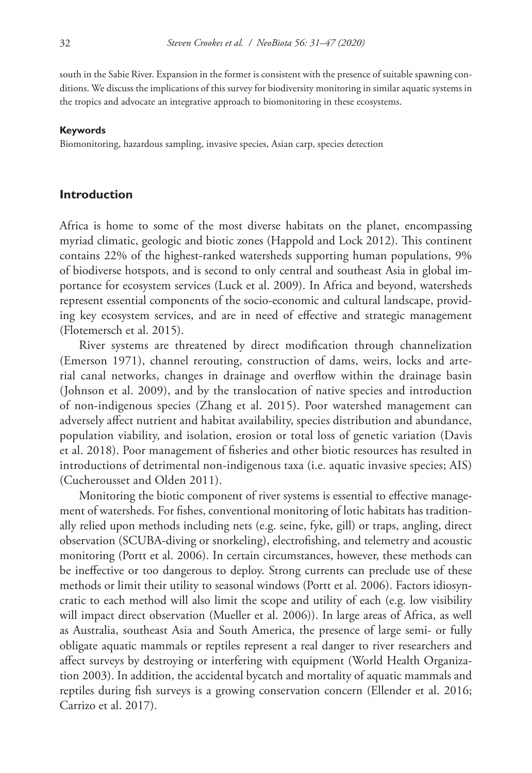south in the Sabie River. Expansion in the former is consistent with the presence of suitable spawning conditions. We discuss the implications of this survey for biodiversity monitoring in similar aquatic systems in the tropics and advocate an integrative approach to biomonitoring in these ecosystems.

#### **Keywords**

Biomonitoring, hazardous sampling, invasive species, Asian carp, species detection

#### **Introduction**

Africa is home to some of the most diverse habitats on the planet, encompassing myriad climatic, geologic and biotic zones (Happold and Lock 2012). This continent contains 22% of the highest-ranked watersheds supporting human populations, 9% of biodiverse hotspots, and is second to only central and southeast Asia in global importance for ecosystem services (Luck et al. 2009). In Africa and beyond, watersheds represent essential components of the socio-economic and cultural landscape, providing key ecosystem services, and are in need of effective and strategic management (Flotemersch et al. 2015).

River systems are threatened by direct modification through channelization (Emerson 1971), channel rerouting, construction of dams, weirs, locks and arterial canal networks, changes in drainage and overflow within the drainage basin (Johnson et al. 2009), and by the translocation of native species and introduction of non-indigenous species (Zhang et al. 2015). Poor watershed management can adversely affect nutrient and habitat availability, species distribution and abundance, population viability, and isolation, erosion or total loss of genetic variation (Davis et al. 2018). Poor management of fisheries and other biotic resources has resulted in introductions of detrimental non-indigenous taxa (i.e. aquatic invasive species; AIS) (Cucherousset and Olden 2011).

Monitoring the biotic component of river systems is essential to effective management of watersheds. For fishes, conventional monitoring of lotic habitats has traditionally relied upon methods including nets (e.g. seine, fyke, gill) or traps, angling, direct observation (SCUBA-diving or snorkeling), electrofishing, and telemetry and acoustic monitoring (Portt et al. 2006). In certain circumstances, however, these methods can be ineffective or too dangerous to deploy. Strong currents can preclude use of these methods or limit their utility to seasonal windows (Portt et al. 2006). Factors idiosyncratic to each method will also limit the scope and utility of each (e.g. low visibility will impact direct observation (Mueller et al. 2006)). In large areas of Africa, as well as Australia, southeast Asia and South America, the presence of large semi- or fully obligate aquatic mammals or reptiles represent a real danger to river researchers and affect surveys by destroying or interfering with equipment (World Health Organization 2003). In addition, the accidental bycatch and mortality of aquatic mammals and reptiles during fish surveys is a growing conservation concern (Ellender et al. 2016; Carrizo et al. 2017).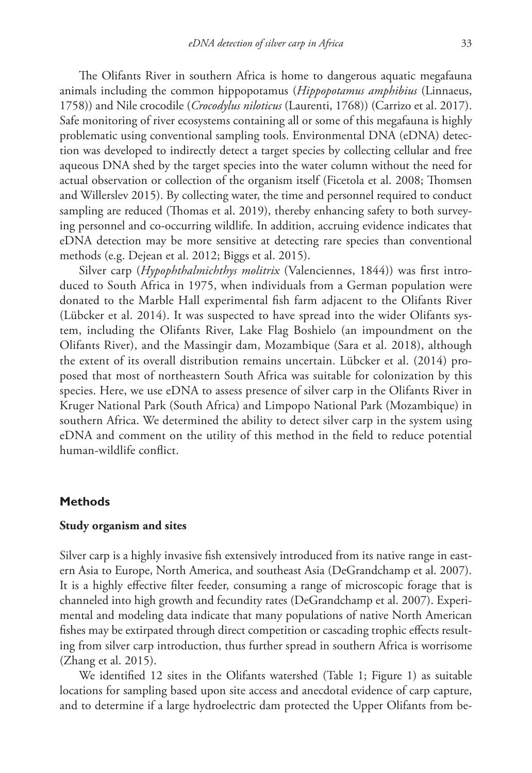The Olifants River in southern Africa is home to dangerous aquatic megafauna animals including the common hippopotamus (*Hippopotamus amphibius* (Linnaeus, 1758)) and Nile crocodile (*Crocodylus niloticus* (Laurenti, 1768)) (Carrizo et al. 2017). Safe monitoring of river ecosystems containing all or some of this megafauna is highly problematic using conventional sampling tools. Environmental DNA (eDNA) detection was developed to indirectly detect a target species by collecting cellular and free aqueous DNA shed by the target species into the water column without the need for actual observation or collection of the organism itself (Ficetola et al. 2008; Thomsen and Willerslev 2015). By collecting water, the time and personnel required to conduct sampling are reduced (Thomas et al. 2019), thereby enhancing safety to both surveying personnel and co-occurring wildlife. In addition, accruing evidence indicates that eDNA detection may be more sensitive at detecting rare species than conventional methods (e.g. Dejean et al. 2012; Biggs et al. 2015).

Silver carp (*Hypophthalmichthys molitrix* (Valenciennes, 1844)) was first introduced to South Africa in 1975, when individuals from a German population were donated to the Marble Hall experimental fish farm adjacent to the Olifants River (Lübcker et al. 2014). It was suspected to have spread into the wider Olifants system, including the Olifants River, Lake Flag Boshielo (an impoundment on the Olifants River), and the Massingir dam, Mozambique (Sara et al. 2018), although the extent of its overall distribution remains uncertain. Lübcker et al. (2014) proposed that most of northeastern South Africa was suitable for colonization by this species. Here, we use eDNA to assess presence of silver carp in the Olifants River in Kruger National Park (South Africa) and Limpopo National Park (Mozambique) in southern Africa. We determined the ability to detect silver carp in the system using eDNA and comment on the utility of this method in the field to reduce potential human-wildlife conflict.

## **Methods**

## **Study organism and sites**

Silver carp is a highly invasive fish extensively introduced from its native range in eastern Asia to Europe, North America, and southeast Asia (DeGrandchamp et al. 2007). It is a highly effective filter feeder, consuming a range of microscopic forage that is channeled into high growth and fecundity rates (DeGrandchamp et al. 2007). Experimental and modeling data indicate that many populations of native North American fishes may be extirpated through direct competition or cascading trophic effects resulting from silver carp introduction, thus further spread in southern Africa is worrisome (Zhang et al. 2015).

We identified 12 sites in the Olifants watershed (Table 1; Figure 1) as suitable locations for sampling based upon site access and anecdotal evidence of carp capture, and to determine if a large hydroelectric dam protected the Upper Olifants from be-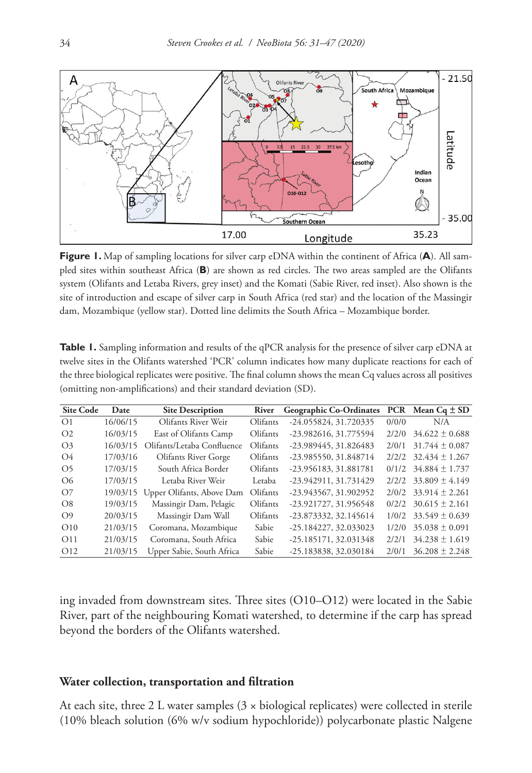

**Figure 1.** Map of sampling locations for silver carp eDNA within the continent of Africa (**A**). All sampled sites within southeast Africa (**B**) are shown as red circles. The two areas sampled are the Olifants system (Olifants and Letaba Rivers, grey inset) and the Komati (Sabie River, red inset). Also shown is the site of introduction and escape of silver carp in South Africa (red star) and the location of the Massingir dam, Mozambique (yellow star). Dotted line delimits the South Africa – Mozambique border.

| <b>Table 1.</b> Sampling information and results of the qPCR analysis for the presence of silver carp eDNA at |
|---------------------------------------------------------------------------------------------------------------|
| twelve sites in the Olifants watershed 'PCR' column indicates how many duplicate reactions for each of        |
| the three biological replicates were positive. The final column shows the mean Cq values across all positives |
| (omitting non-amplifications) and their standard deviation (SD).                                              |
|                                                                                                               |

| <b>Site Code</b> | Date     | <b>Site Description</b>     | River    | Geographic Co-Ordinates |       | PCR Mean $Cq \pm SD$   |
|------------------|----------|-----------------------------|----------|-------------------------|-------|------------------------|
| $\Omega$         | 16/06/15 | Olifants River Weir         | Olifants | -24.055824, 31.720335   | 0/0/0 | N/A                    |
| O <sub>2</sub>   | 16/03/15 | East of Olifants Camp       | Olifants | -23.982616, 31.775594   | 2/2/0 | $34.622 \pm 0.688$     |
| O <sub>3</sub>   | 16/03/15 | Olifants/Letaba Confluence  | Olifants | -23.989445, 31.826483   | 2/0/1 | $31.744 \pm 0.087$     |
| $\Omega$         | 17/03/16 | <b>Olifants River Gorge</b> | Olifants | -23.985550, 31.848714   | 2/2/2 | $32.434 \pm 1.267$     |
| O <sub>5</sub>   | 17/03/15 | South Africa Border         | Olifants | -23.956183, 31.881781   | 0/1/2 | $34.884 \pm 1.737$     |
| O <sub>6</sub>   | 17/03/15 | Letaba River Weir           | Letaba   | -23.942911, 31.731429   | 2/2/2 | $33.809 \pm 4.149$     |
| O7               | 19/03/15 | Upper Olifants, Above Dam   | Olifants | -23.943567, 31.902952   |       | $2/0/2$ 33.914 ± 2.261 |
| O8               | 19/03/15 | Massingir Dam, Pelagic      | Olifants | -23.921727, 31.956548   | 0/2/2 | $30.615 \pm 2.161$     |
| O <sub>9</sub>   | 20/03/15 | Massingir Dam Wall          | Olifants | -23.873332, 32.145614   | 1/0/2 | $33.549 \pm 0.639$     |
| O10              | 21/03/15 | Coromana, Mozambique        | Sabie    | -25.184227, 32.033023   | 1/2/0 | $35.038 \pm 0.091$     |
| O <sub>11</sub>  | 21/03/15 | Coromana, South Africa      | Sabie    | -25.185171, 32.031348   | 2/2/1 | $34.238 \pm 1.619$     |
| O <sub>12</sub>  | 21/03/15 | Upper Sabie, South Africa   | Sabie    | -25.183838, 32.030184   | 2/0/1 | $36.208 \pm 2.248$     |

ing invaded from downstream sites. Three sites (O10–O12) were located in the Sabie River, part of the neighbouring Komati watershed, to determine if the carp has spread beyond the borders of the Olifants watershed.

## **Water collection, transportation and filtration**

At each site, three 2 L water samples  $(3 \times biological$  replicates) were collected in sterile (10% bleach solution (6% w/v sodium hypochloride)) polycarbonate plastic Nalgene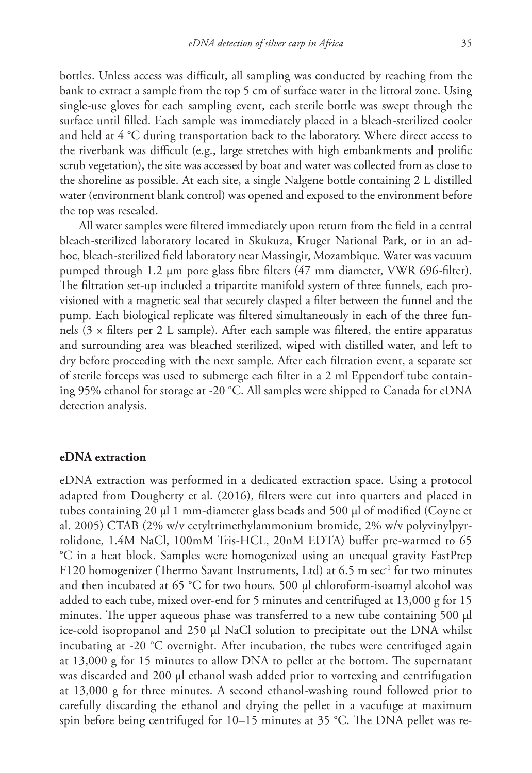bottles. Unless access was difficult, all sampling was conducted by reaching from the bank to extract a sample from the top 5 cm of surface water in the littoral zone. Using single-use gloves for each sampling event, each sterile bottle was swept through the surface until filled. Each sample was immediately placed in a bleach-sterilized cooler and held at 4 °C during transportation back to the laboratory. Where direct access to the riverbank was difficult (e.g., large stretches with high embankments and prolific scrub vegetation), the site was accessed by boat and water was collected from as close to the shoreline as possible. At each site, a single Nalgene bottle containing 2 L distilled water (environment blank control) was opened and exposed to the environment before the top was resealed.

All water samples were filtered immediately upon return from the field in a central bleach-sterilized laboratory located in Skukuza, Kruger National Park, or in an adhoc, bleach-sterilized field laboratory near Massingir, Mozambique. Water was vacuum pumped through 1.2 μm pore glass fibre filters (47 mm diameter, VWR 696-filter). The filtration set-up included a tripartite manifold system of three funnels, each provisioned with a magnetic seal that securely clasped a filter between the funnel and the pump. Each biological replicate was filtered simultaneously in each of the three funnels  $(3 \times$  filters per 2 L sample). After each sample was filtered, the entire apparatus and surrounding area was bleached sterilized, wiped with distilled water, and left to dry before proceeding with the next sample. After each filtration event, a separate set of sterile forceps was used to submerge each filter in a 2 ml Eppendorf tube containing 95% ethanol for storage at -20 °C. All samples were shipped to Canada for eDNA detection analysis.

# **eDNA extraction**

eDNA extraction was performed in a dedicated extraction space. Using a protocol adapted from Dougherty et al. (2016), filters were cut into quarters and placed in tubes containing 20 μl 1 mm-diameter glass beads and 500 μl of modified (Coyne et al. 2005) CTAB (2% w/v cetyltrimethylammonium bromide, 2% w/v polyvinylpyrrolidone, 1.4M NaCl, 100mM Tris-HCL, 20nM EDTA) buffer pre-warmed to 65 °C in a heat block. Samples were homogenized using an unequal gravity FastPrep F120 homogenizer (Thermo Savant Instruments, Ltd) at  $6.5 \text{ m}\text{ sec}^{-1}$  for two minutes and then incubated at 65 °C for two hours. 500 μl chloroform-isoamyl alcohol was added to each tube, mixed over-end for 5 minutes and centrifuged at 13,000 g for 15 minutes. The upper aqueous phase was transferred to a new tube containing 500 μl ice-cold isopropanol and 250 μl NaCl solution to precipitate out the DNA whilst incubating at -20 °C overnight. After incubation, the tubes were centrifuged again at 13,000 g for 15 minutes to allow DNA to pellet at the bottom. The supernatant was discarded and 200 μl ethanol wash added prior to vortexing and centrifugation at 13,000 g for three minutes. A second ethanol-washing round followed prior to carefully discarding the ethanol and drying the pellet in a vacufuge at maximum spin before being centrifuged for 10–15 minutes at 35 °C. The DNA pellet was re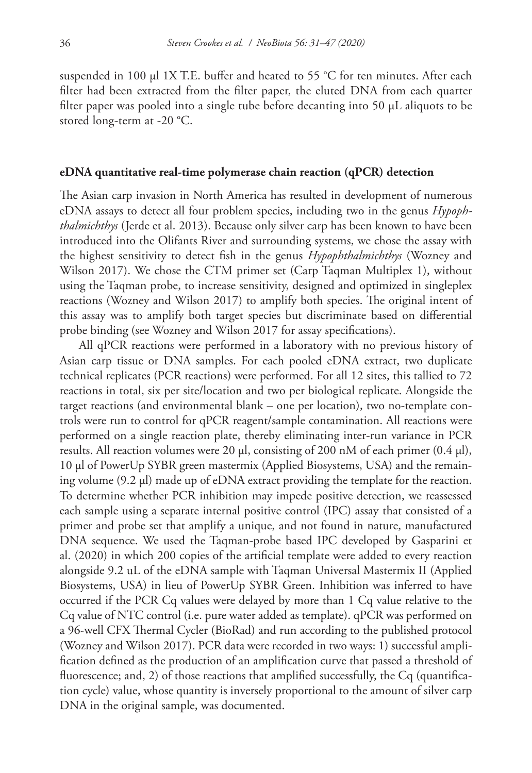suspended in 100 μl 1X T.E. buffer and heated to 55 °C for ten minutes. After each filter had been extracted from the filter paper, the eluted DNA from each quarter filter paper was pooled into a single tube before decanting into 50 µL aliquots to be stored long-term at -20 °C.

#### **eDNA quantitative real-time polymerase chain reaction (qPCR) detection**

The Asian carp invasion in North America has resulted in development of numerous eDNA assays to detect all four problem species, including two in the genus *Hypophthalmichthys* (Jerde et al. 2013). Because only silver carp has been known to have been introduced into the Olifants River and surrounding systems, we chose the assay with the highest sensitivity to detect fish in the genus *Hypophthalmichthys* (Wozney and Wilson 2017). We chose the CTM primer set (Carp Taqman Multiplex 1), without using the Taqman probe, to increase sensitivity, designed and optimized in singleplex reactions (Wozney and Wilson 2017) to amplify both species. The original intent of this assay was to amplify both target species but discriminate based on differential probe binding (see Wozney and Wilson 2017 for assay specifications).

All qPCR reactions were performed in a laboratory with no previous history of Asian carp tissue or DNA samples. For each pooled eDNA extract, two duplicate technical replicates (PCR reactions) were performed. For all 12 sites, this tallied to 72 reactions in total, six per site/location and two per biological replicate. Alongside the target reactions (and environmental blank – one per location), two no-template controls were run to control for qPCR reagent/sample contamination. All reactions were performed on a single reaction plate, thereby eliminating inter-run variance in PCR results. All reaction volumes were 20 μl, consisting of 200 nM of each primer (0.4 μl), 10 μl of PowerUp SYBR green mastermix (Applied Biosystems, USA) and the remaining volume (9.2 μl) made up of eDNA extract providing the template for the reaction. To determine whether PCR inhibition may impede positive detection, we reassessed each sample using a separate internal positive control (IPC) assay that consisted of a primer and probe set that amplify a unique, and not found in nature, manufactured DNA sequence. We used the Taqman-probe based IPC developed by Gasparini et al. (2020) in which 200 copies of the artificial template were added to every reaction alongside 9.2 uL of the eDNA sample with Taqman Universal Mastermix II (Applied Biosystems, USA) in lieu of PowerUp SYBR Green. Inhibition was inferred to have occurred if the PCR Cq values were delayed by more than 1 Cq value relative to the Cq value of NTC control (i.e. pure water added as template). qPCR was performed on a 96-well CFX Thermal Cycler (BioRad) and run according to the published protocol (Wozney and Wilson 2017). PCR data were recorded in two ways: 1) successful amplification defined as the production of an amplification curve that passed a threshold of fluorescence; and, 2) of those reactions that amplified successfully, the Cq (quantification cycle) value, whose quantity is inversely proportional to the amount of silver carp DNA in the original sample, was documented.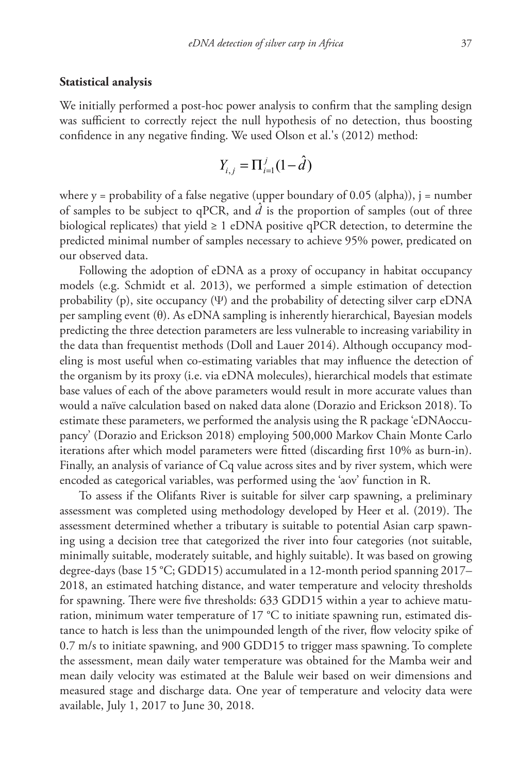#### **Statistical analysis**

We initially performed a post-hoc power analysis to confirm that the sampling design was sufficient to correctly reject the null hypothesis of no detection, thus boosting confidence in any negative finding. We used Olson et al.'s (2012) method:

$$
Y_{i,j} = \Pi_{i=1}^{j} (1 - \hat{d})
$$

where  $y =$  probability of a false negative (upper boundary of 0.05 (alpha)),  $j =$  number of samples to be subject to qPCR, and  $\hat{d}$  is the proportion of samples (out of three biological replicates) that yield  $\geq 1$  eDNA positive qPCR detection, to determine the predicted minimal number of samples necessary to achieve 95% power, predicated on our observed data.

Following the adoption of eDNA as a proxy of occupancy in habitat occupancy models (e.g. Schmidt et al. 2013), we performed a simple estimation of detection probability (p), site occupancy (Ψ) and the probability of detecting silver carp eDNA per sampling event  $(\theta)$ . As eDNA sampling is inherently hierarchical, Bayesian models predicting the three detection parameters are less vulnerable to increasing variability in the data than frequentist methods (Doll and Lauer 2014). Although occupancy modeling is most useful when co-estimating variables that may influence the detection of the organism by its proxy (i.e. via eDNA molecules), hierarchical models that estimate base values of each of the above parameters would result in more accurate values than would a naïve calculation based on naked data alone (Dorazio and Erickson 2018). To estimate these parameters, we performed the analysis using the R package 'eDNAoccupancy' (Dorazio and Erickson 2018) employing 500,000 Markov Chain Monte Carlo iterations after which model parameters were fitted (discarding first 10% as burn-in). Finally, an analysis of variance of Cq value across sites and by river system, which were encoded as categorical variables, was performed using the 'aov' function in R.

To assess if the Olifants River is suitable for silver carp spawning, a preliminary assessment was completed using methodology developed by Heer et al. (2019). The assessment determined whether a tributary is suitable to potential Asian carp spawning using a decision tree that categorized the river into four categories (not suitable, minimally suitable, moderately suitable, and highly suitable). It was based on growing degree-days (base 15 °C; GDD15) accumulated in a 12-month period spanning 2017– 2018, an estimated hatching distance, and water temperature and velocity thresholds for spawning. There were five thresholds: 633 GDD15 within a year to achieve maturation, minimum water temperature of 17  $^{\circ}$ C to initiate spawning run, estimated distance to hatch is less than the unimpounded length of the river, flow velocity spike of 0.7 m/s to initiate spawning, and 900 GDD15 to trigger mass spawning. To complete the assessment, mean daily water temperature was obtained for the Mamba weir and mean daily velocity was estimated at the Balule weir based on weir dimensions and measured stage and discharge data. One year of temperature and velocity data were available, July 1, 2017 to June 30, 2018.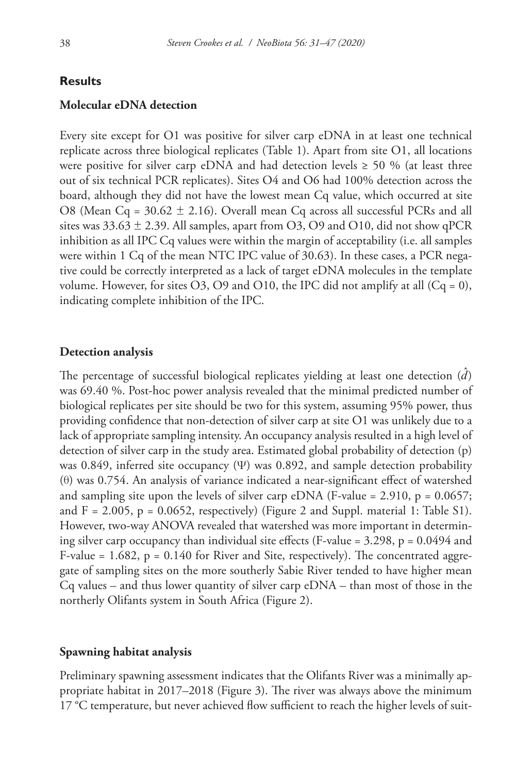## **Results**

## **Molecular eDNA detection**

Every site except for O1 was positive for silver carp eDNA in at least one technical replicate across three biological replicates (Table 1). Apart from site O1, all locations were positive for silver carp eDNA and had detection levels  $\geq$  50 % (at least three out of six technical PCR replicates). Sites O4 and O6 had 100% detection across the board, although they did not have the lowest mean Cq value, which occurred at site O8 (Mean Cq =  $30.62 \pm 2.16$ ). Overall mean Cq across all successful PCRs and all sites was  $33.63 \pm 2.39$ . All samples, apart from O3, O9 and O10, did not show qPCR inhibition as all IPC Cq values were within the margin of acceptability (i.e. all samples were within 1 Cq of the mean NTC IPC value of 30.63). In these cases, a PCR negative could be correctly interpreted as a lack of target eDNA molecules in the template volume. However, for sites O3, O9 and O10, the IPC did not amplify at all  $(Cq = 0)$ , indicating complete inhibition of the IPC.

#### **Detection analysis**

The percentage of successful biological replicates yielding at least one detection  $(\hat{d})$ was 69.40 %. Post-hoc power analysis revealed that the minimal predicted number of biological replicates per site should be two for this system, assuming 95% power, thus providing confidence that non-detection of silver carp at site O1 was unlikely due to a lack of appropriate sampling intensity. An occupancy analysis resulted in a high level of detection of silver carp in the study area. Estimated global probability of detection (p) was 0.849, inferred site occupancy  $(\Psi)$  was 0.892, and sample detection probability (θ) was 0.754. An analysis of variance indicated a near-significant effect of watershed and sampling site upon the levels of silver carp eDNA (F-value = 2.910,  $p = 0.0657$ ; and  $F = 2.005$ ,  $p = 0.0652$ , respectively) (Figure 2 and Suppl. material 1: Table S1). However, two-way ANOVA revealed that watershed was more important in determining silver carp occupancy than individual site effects (F-value =  $3.298$ , p =  $0.0494$  and F-value  $= 1.682$ ,  $p = 0.140$  for River and Site, respectively). The concentrated aggregate of sampling sites on the more southerly Sabie River tended to have higher mean  $Cq$  values – and thus lower quantity of silver carp  $eDNA - than most of those in the$ northerly Olifants system in South Africa (Figure 2).

#### **Spawning habitat analysis**

Preliminary spawning assessment indicates that the Olifants River was a minimally appropriate habitat in 2017–2018 (Figure 3). The river was always above the minimum 17 °C temperature, but never achieved flow sufficient to reach the higher levels of suit-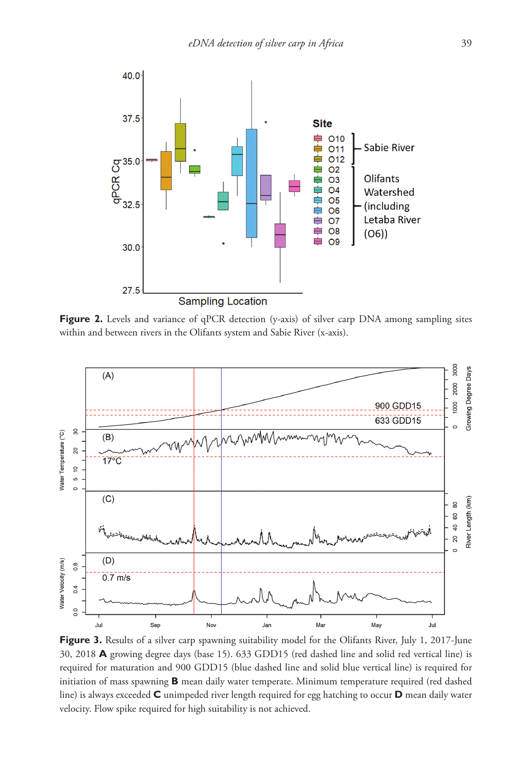

**Figure 2.** Levels and variance of qPCR detection (y-axis) of silver carp DNA among sampling sites within and between rivers in the Olifants system and Sabie River (x-axis).



Figure 3. Results of a silver carp spawning suitability model for the Olifants River, July 1, 2017-June 30, 2018 **A** growing degree days (base 15). 633 GDD15 (red dashed line and solid red vertical line) is required for maturation and 900 GDD15 (blue dashed line and solid blue vertical line) is required for initiation of mass spawning **B** mean daily water temperate. Minimum temperature required (red dashed line) is always exceeded **C** unimpeded river length required for egg hatching to occur **D** mean daily water velocity. Flow spike required for high suitability is not achieved.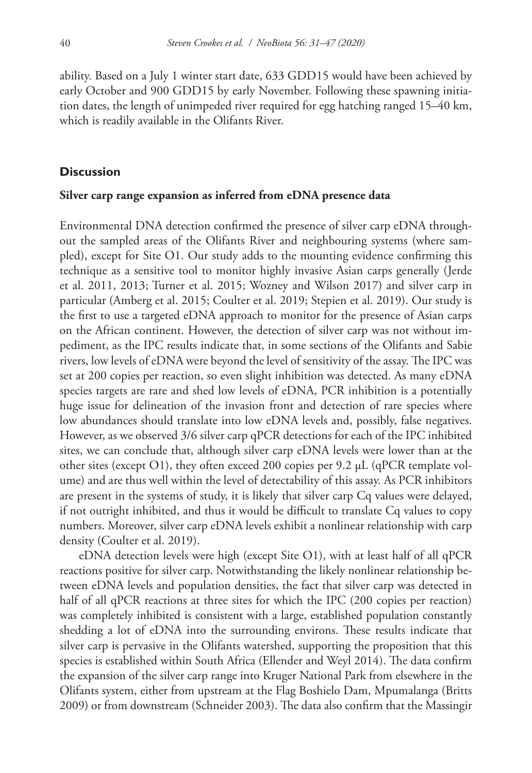ability. Based on a July 1 winter start date, 633 GDD15 would have been achieved by early October and 900 GDD15 by early November. Following these spawning initiation dates, the length of unimpeded river required for egg hatching ranged 15–40 km, which is readily available in the Olifants River.

# **Discussion**

## **Silver carp range expansion as inferred from eDNA presence data**

Environmental DNA detection confirmed the presence of silver carp eDNA throughout the sampled areas of the Olifants River and neighbouring systems (where sampled), except for Site O1. Our study adds to the mounting evidence confirming this technique as a sensitive tool to monitor highly invasive Asian carps generally (Jerde et al. 2011, 2013; Turner et al. 2015; Wozney and Wilson 2017) and silver carp in particular (Amberg et al. 2015; Coulter et al. 2019; Stepien et al. 2019). Our study is the first to use a targeted eDNA approach to monitor for the presence of Asian carps on the African continent. However, the detection of silver carp was not without impediment, as the IPC results indicate that, in some sections of the Olifants and Sabie rivers, low levels of eDNA were beyond the level of sensitivity of the assay. The IPC was set at 200 copies per reaction, so even slight inhibition was detected. As many eDNA species targets are rare and shed low levels of eDNA, PCR inhibition is a potentially huge issue for delineation of the invasion front and detection of rare species where low abundances should translate into low eDNA levels and, possibly, false negatives. However, as we observed 3/6 silver carp qPCR detections for each of the IPC inhibited sites, we can conclude that, although silver carp eDNA levels were lower than at the other sites (except O1), they often exceed 200 copies per 9.2  $\mu$ L (qPCR template volume) and are thus well within the level of detectability of this assay. As PCR inhibitors are present in the systems of study, it is likely that silver carp Cq values were delayed, if not outright inhibited, and thus it would be difficult to translate Cq values to copy numbers. Moreover, silver carp eDNA levels exhibit a nonlinear relationship with carp density (Coulter et al. 2019).

eDNA detection levels were high (except Site O1), with at least half of all qPCR reactions positive for silver carp. Notwithstanding the likely nonlinear relationship between eDNA levels and population densities, the fact that silver carp was detected in half of all qPCR reactions at three sites for which the IPC (200 copies per reaction) was completely inhibited is consistent with a large, established population constantly shedding a lot of eDNA into the surrounding environs. These results indicate that silver carp is pervasive in the Olifants watershed, supporting the proposition that this species is established within South Africa (Ellender and Weyl 2014). The data confirm the expansion of the silver carp range into Kruger National Park from elsewhere in the Olifants system, either from upstream at the Flag Boshielo Dam, Mpumalanga (Britts 2009) or from downstream (Schneider 2003). The data also confirm that the Massingir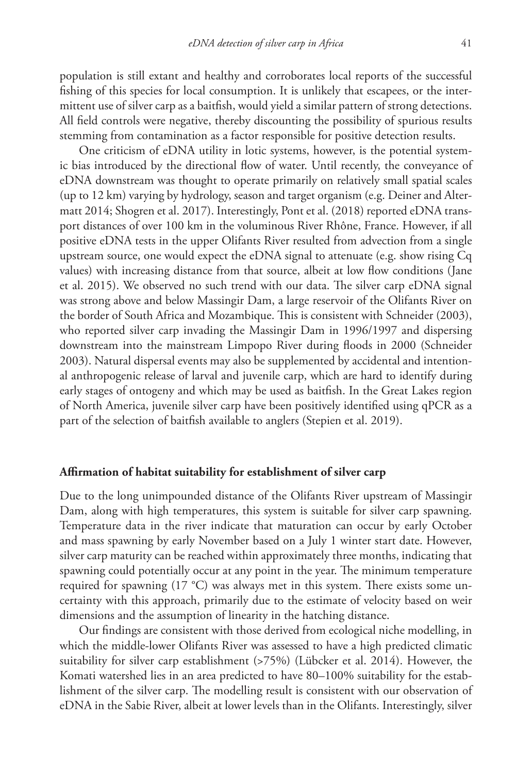population is still extant and healthy and corroborates local reports of the successful fishing of this species for local consumption. It is unlikely that escapees, or the intermittent use of silver carp as a baitfish, would yield a similar pattern of strong detections. All field controls were negative, thereby discounting the possibility of spurious results stemming from contamination as a factor responsible for positive detection results.

One criticism of eDNA utility in lotic systems, however, is the potential systemic bias introduced by the directional flow of water. Until recently, the conveyance of eDNA downstream was thought to operate primarily on relatively small spatial scales (up to 12 km) varying by hydrology, season and target organism (e.g. Deiner and Altermatt 2014; Shogren et al. 2017). Interestingly, Pont et al. (2018) reported eDNA transport distances of over 100 km in the voluminous River Rhône, France. However, if all positive eDNA tests in the upper Olifants River resulted from advection from a single upstream source, one would expect the eDNA signal to attenuate (e.g. show rising Cq values) with increasing distance from that source, albeit at low flow conditions (Jane et al. 2015). We observed no such trend with our data. The silver carp eDNA signal was strong above and below Massingir Dam, a large reservoir of the Olifants River on the border of South Africa and Mozambique. This is consistent with Schneider (2003), who reported silver carp invading the Massingir Dam in 1996/1997 and dispersing downstream into the mainstream Limpopo River during floods in 2000 (Schneider 2003). Natural dispersal events may also be supplemented by accidental and intentional anthropogenic release of larval and juvenile carp, which are hard to identify during early stages of ontogeny and which may be used as baitfish. In the Great Lakes region of North America, juvenile silver carp have been positively identified using qPCR as a part of the selection of baitfish available to anglers (Stepien et al. 2019).

## **Affirmation of habitat suitability for establishment of silver carp**

Due to the long unimpounded distance of the Olifants River upstream of Massingir Dam, along with high temperatures, this system is suitable for silver carp spawning. Temperature data in the river indicate that maturation can occur by early October and mass spawning by early November based on a July 1 winter start date. However, silver carp maturity can be reached within approximately three months, indicating that spawning could potentially occur at any point in the year. The minimum temperature required for spawning (17 °C) was always met in this system. There exists some uncertainty with this approach, primarily due to the estimate of velocity based on weir dimensions and the assumption of linearity in the hatching distance.

Our findings are consistent with those derived from ecological niche modelling, in which the middle-lower Olifants River was assessed to have a high predicted climatic suitability for silver carp establishment (>75%) (Lübcker et al. 2014). However, the Komati watershed lies in an area predicted to have 80–100% suitability for the establishment of the silver carp. The modelling result is consistent with our observation of eDNA in the Sabie River, albeit at lower levels than in the Olifants. Interestingly, silver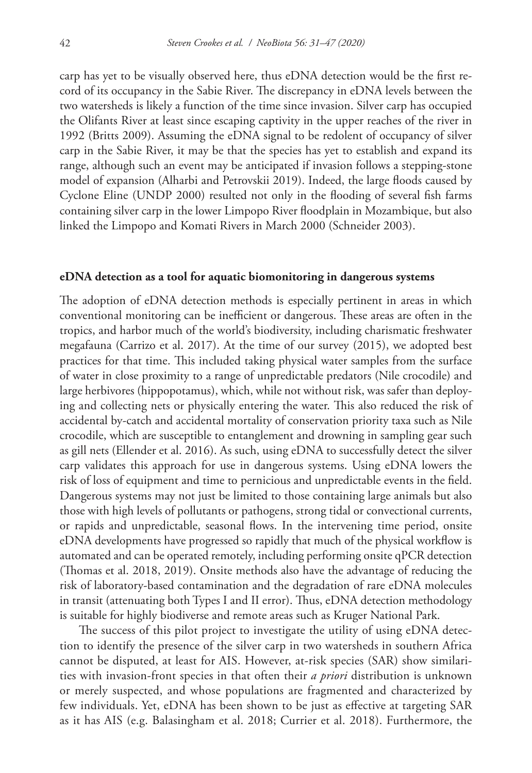carp has yet to be visually observed here, thus eDNA detection would be the first record of its occupancy in the Sabie River. The discrepancy in eDNA levels between the two watersheds is likely a function of the time since invasion. Silver carp has occupied the Olifants River at least since escaping captivity in the upper reaches of the river in 1992 (Britts 2009). Assuming the eDNA signal to be redolent of occupancy of silver carp in the Sabie River, it may be that the species has yet to establish and expand its range, although such an event may be anticipated if invasion follows a stepping-stone model of expansion (Alharbi and Petrovskii 2019). Indeed, the large floods caused by Cyclone Eline (UNDP 2000) resulted not only in the flooding of several fish farms containing silver carp in the lower Limpopo River floodplain in Mozambique, but also linked the Limpopo and Komati Rivers in March 2000 (Schneider 2003).

#### **eDNA detection as a tool for aquatic biomonitoring in dangerous systems**

The adoption of eDNA detection methods is especially pertinent in areas in which conventional monitoring can be inefficient or dangerous. These areas are often in the tropics, and harbor much of the world's biodiversity, including charismatic freshwater megafauna (Carrizo et al. 2017). At the time of our survey (2015), we adopted best practices for that time. This included taking physical water samples from the surface of water in close proximity to a range of unpredictable predators (Nile crocodile) and large herbivores (hippopotamus), which, while not without risk, was safer than deploying and collecting nets or physically entering the water. This also reduced the risk of accidental by-catch and accidental mortality of conservation priority taxa such as Nile crocodile, which are susceptible to entanglement and drowning in sampling gear such as gill nets (Ellender et al. 2016). As such, using eDNA to successfully detect the silver carp validates this approach for use in dangerous systems. Using eDNA lowers the risk of loss of equipment and time to pernicious and unpredictable events in the field. Dangerous systems may not just be limited to those containing large animals but also those with high levels of pollutants or pathogens, strong tidal or convectional currents, or rapids and unpredictable, seasonal flows. In the intervening time period, onsite eDNA developments have progressed so rapidly that much of the physical workflow is automated and can be operated remotely, including performing onsite qPCR detection (Thomas et al. 2018, 2019). Onsite methods also have the advantage of reducing the risk of laboratory-based contamination and the degradation of rare eDNA molecules in transit (attenuating both Types I and II error). Thus, eDNA detection methodology is suitable for highly biodiverse and remote areas such as Kruger National Park.

The success of this pilot project to investigate the utility of using eDNA detection to identify the presence of the silver carp in two watersheds in southern Africa cannot be disputed, at least for AIS. However, at-risk species (SAR) show similarities with invasion-front species in that often their *a priori* distribution is unknown or merely suspected, and whose populations are fragmented and characterized by few individuals. Yet, eDNA has been shown to be just as effective at targeting SAR as it has AIS (e.g. Balasingham et al. 2018; Currier et al. 2018). Furthermore, the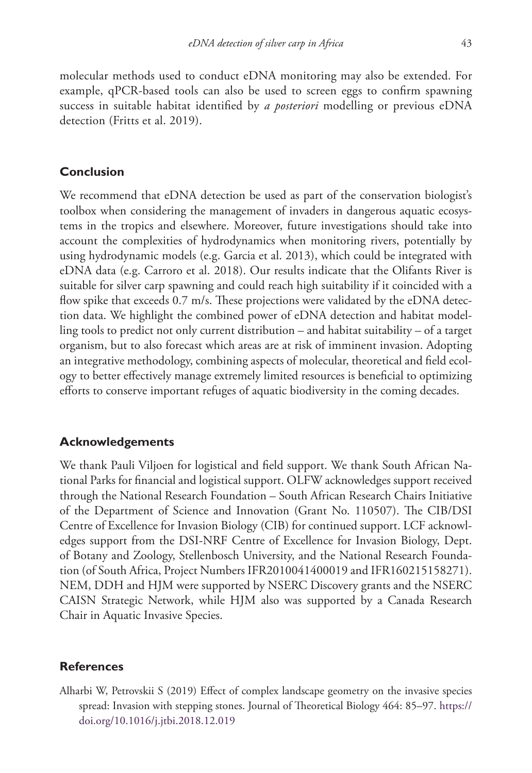molecular methods used to conduct eDNA monitoring may also be extended. For example, qPCR-based tools can also be used to screen eggs to confirm spawning success in suitable habitat identified by *a posteriori* modelling or previous eDNA detection (Fritts et al. 2019).

# **Conclusion**

We recommend that eDNA detection be used as part of the conservation biologist's toolbox when considering the management of invaders in dangerous aquatic ecosystems in the tropics and elsewhere. Moreover, future investigations should take into account the complexities of hydrodynamics when monitoring rivers, potentially by using hydrodynamic models (e.g. Garcia et al. 2013), which could be integrated with eDNA data (e.g. Carroro et al. 2018). Our results indicate that the Olifants River is suitable for silver carp spawning and could reach high suitability if it coincided with a flow spike that exceeds 0.7 m/s. These projections were validated by the eDNA detection data. We highlight the combined power of eDNA detection and habitat modelling tools to predict not only current distribution – and habitat suitability – of a target organism, but to also forecast which areas are at risk of imminent invasion. Adopting an integrative methodology, combining aspects of molecular, theoretical and field ecology to better effectively manage extremely limited resources is beneficial to optimizing efforts to conserve important refuges of aquatic biodiversity in the coming decades.

# **Acknowledgements**

We thank Pauli Viljoen for logistical and field support. We thank South African National Parks for financial and logistical support. OLFW acknowledges support received through the National Research Foundation – South African Research Chairs Initiative of the Department of Science and Innovation (Grant No. 110507). The CIB/DSI Centre of Excellence for Invasion Biology (CIB) for continued support. LCF acknowledges support from the DSI-NRF Centre of Excellence for Invasion Biology, Dept. of Botany and Zoology, Stellenbosch University, and the National Research Foundation (of South Africa, Project Numbers IFR2010041400019 and IFR160215158271). NEM, DDH and HJM were supported by NSERC Discovery grants and the NSERC CAISN Strategic Network, while HJM also was supported by a Canada Research Chair in Aquatic Invasive Species.

### **References**

Alharbi W, Petrovskii S (2019) Effect of complex landscape geometry on the invasive species spread: Invasion with stepping stones. Journal of Theoretical Biology 464: 85–97. [https://](https://doi.org/10.1016/j.jtbi.2018.12.019) [doi.org/10.1016/j.jtbi.2018.12.019](https://doi.org/10.1016/j.jtbi.2018.12.019)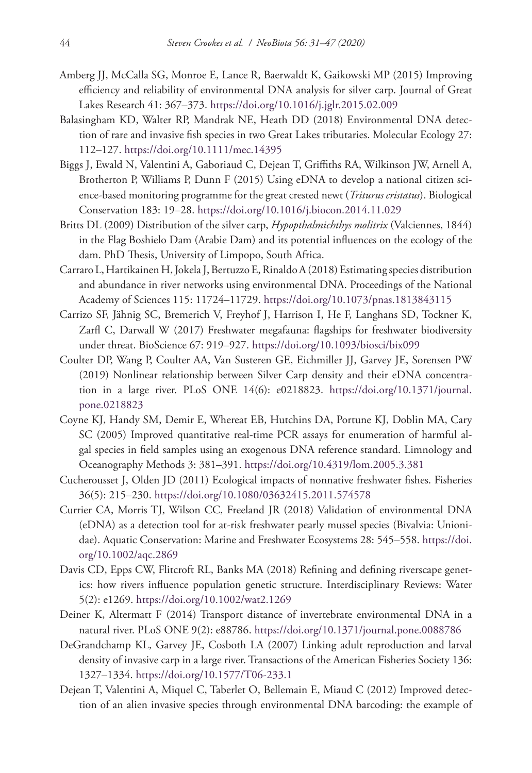- Amberg JJ, McCalla SG, Monroe E, Lance R, Baerwaldt K, Gaikowski MP (2015) Improving efficiency and reliability of environmental DNA analysis for silver carp. Journal of Great Lakes Research 41: 367–373. <https://doi.org/10.1016/j.jglr.2015.02.009>
- Balasingham KD, Walter RP, Mandrak NE, Heath DD (2018) Environmental DNA detection of rare and invasive fish species in two Great Lakes tributaries. Molecular Ecology 27: 112–127.<https://doi.org/10.1111/mec.14395>
- Biggs J, Ewald N, Valentini A, Gaboriaud C, Dejean T, Griffiths RA, Wilkinson JW, Arnell A, Brotherton P, Williams P, Dunn F (2015) Using eDNA to develop a national citizen science-based monitoring programme for the great crested newt (*Triturus cristatus*). Biological Conservation 183: 19–28. <https://doi.org/10.1016/j.biocon.2014.11.029>
- Britts DL (2009) Distribution of the silver carp, *Hypopthalmichthys molitrix* (Valciennes, 1844) in the Flag Boshielo Dam (Arabie Dam) and its potential influences on the ecology of the dam. PhD Thesis, University of Limpopo, South Africa.
- Carraro L, Hartikainen H, Jokela J, Bertuzzo E, Rinaldo A (2018) Estimating species distribution and abundance in river networks using environmental DNA. Proceedings of the National Academy of Sciences 115: 11724–11729.<https://doi.org/10.1073/pnas.1813843115>
- Carrizo SF, Jähnig SC, Bremerich V, Freyhof J, Harrison I, He F, Langhans SD, Tockner K, Zarfl C, Darwall W (2017) Freshwater megafauna: flagships for freshwater biodiversity under threat. BioScience 67: 919–927. <https://doi.org/10.1093/biosci/bix099>
- Coulter DP, Wang P, Coulter AA, Van Susteren GE, Eichmiller JJ, Garvey JE, Sorensen PW (2019) Nonlinear relationship between Silver Carp density and their eDNA concentration in a large river. PLoS ONE 14(6): e0218823. [https://doi.org/10.1371/journal.](https://doi.org/10.1371/journal.pone.0218823) [pone.0218823](https://doi.org/10.1371/journal.pone.0218823)
- Coyne KJ, Handy SM, Demir E, Whereat EB, Hutchins DA, Portune KJ, Doblin MA, Cary SC (2005) Improved quantitative real-time PCR assays for enumeration of harmful algal species in field samples using an exogenous DNA reference standard. Limnology and Oceanography Methods 3: 381–391.<https://doi.org/10.4319/lom.2005.3.381>
- Cucherousset J, Olden JD (2011) Ecological impacts of nonnative freshwater fishes. Fisheries 36(5): 215–230. <https://doi.org/10.1080/03632415.2011.574578>
- Currier CA, Morris TJ, Wilson CC, Freeland JR (2018) Validation of environmental DNA (eDNA) as a detection tool for at-risk freshwater pearly mussel species (Bivalvia: Unionidae). Aquatic Conservation: Marine and Freshwater Ecosystems 28: 545–558. [https://doi.](https://doi.org/10.1002/aqc.2869) [org/10.1002/aqc.2869](https://doi.org/10.1002/aqc.2869)
- Davis CD, Epps CW, Flitcroft RL, Banks MA (2018) Refining and defining riverscape genetics: how rivers influence population genetic structure. Interdisciplinary Reviews: Water 5(2): e1269. <https://doi.org/10.1002/wat2.1269>
- Deiner K, Altermatt F (2014) Transport distance of invertebrate environmental DNA in a natural river. PLoS ONE 9(2): e88786. <https://doi.org/10.1371/journal.pone.0088786>
- DeGrandchamp KL, Garvey JE, Cosboth LA (2007) Linking adult reproduction and larval density of invasive carp in a large river. Transactions of the American Fisheries Society 136: 1327–1334.<https://doi.org/10.1577/T06-233.1>
- Dejean T, Valentini A, Miquel C, Taberlet O, Bellemain E, Miaud C (2012) Improved detection of an alien invasive species through environmental DNA barcoding: the example of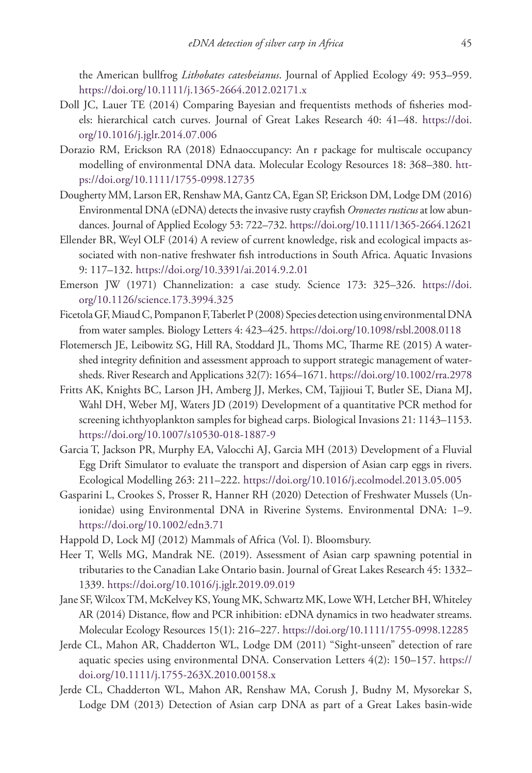the American bullfrog *Lithobates catesbeianus*. Journal of Applied Ecology 49: 953–959. <https://doi.org/10.1111/j.1365-2664.2012.02171.x>

- Doll JC, Lauer TE (2014) Comparing Bayesian and frequentists methods of fisheries models: hierarchical catch curves. Journal of Great Lakes Research 40: 41–48. [https://doi.](https://doi.org/10.1016/j.jglr.2014.07.006) [org/10.1016/j.jglr.2014.07.006](https://doi.org/10.1016/j.jglr.2014.07.006)
- Dorazio RM, Erickson RA (2018) Ednaoccupancy: An r package for multiscale occupancy modelling of environmental DNA data. Molecular Ecology Resources 18: 368–380. [htt](https://doi.org/10.1111/1755-0998.12735)[ps://doi.org/10.1111/1755-0998.12735](https://doi.org/10.1111/1755-0998.12735)
- Dougherty MM, Larson ER, Renshaw MA, Gantz CA, Egan SP, Erickson DM, Lodge DM (2016) Environmental DNA (eDNA) detects the invasive rusty crayfish *Oronectes rusticus* at low abundances. Journal of Applied Ecology 53: 722–732.<https://doi.org/10.1111/1365-2664.12621>
- Ellender BR, Weyl OLF (2014) A review of current knowledge, risk and ecological impacts associated with non-native freshwater fish introductions in South Africa. Aquatic Invasions 9: 117–132.<https://doi.org/10.3391/ai.2014.9.2.01>
- Emerson JW (1971) Channelization: a case study. Science 173: 325–326. [https://doi.](https://doi.org/10.1126/science.173.3994.325) [org/10.1126/science.173.3994.325](https://doi.org/10.1126/science.173.3994.325)
- Ficetola GF, Miaud C, Pompanon F, Taberlet P (2008) Species detection using environmental DNA from water samples. Biology Letters 4: 423–425.<https://doi.org/10.1098/rsbl.2008.0118>
- Flotemersch JE, Leibowitz SG, Hill RA, Stoddard JL, Thoms MC, Tharme RE (2015) A watershed integrity definition and assessment approach to support strategic management of watersheds. River Research and Applications 32(7): 1654–1671.<https://doi.org/10.1002/rra.2978>
- Fritts AK, Knights BC, Larson JH, Amberg JJ, Merkes, CM, Tajjioui T, Butler SE, Diana MJ, Wahl DH, Weber MJ, Waters JD (2019) Development of a quantitative PCR method for screening ichthyoplankton samples for bighead carps. Biological Invasions 21: 1143–1153. <https://doi.org/10.1007/s10530-018-1887-9>
- Garcia T, Jackson PR, Murphy EA, Valocchi AJ, Garcia MH (2013) Development of a Fluvial Egg Drift Simulator to evaluate the transport and dispersion of Asian carp eggs in rivers. Ecological Modelling 263: 211–222. <https://doi.org/10.1016/j.ecolmodel.2013.05.005>
- Gasparini L, Crookes S, Prosser R, Hanner RH (2020) Detection of Freshwater Mussels (Unionidae) using Environmental DNA in Riverine Systems. Environmental DNA: 1–9. <https://doi.org/10.1002/edn3.71>
- Happold D, Lock MJ (2012) Mammals of Africa (Vol. I). Bloomsbury.
- Heer T, Wells MG, Mandrak NE. (2019). Assessment of Asian carp spawning potential in tributaries to the Canadian Lake Ontario basin. Journal of Great Lakes Research 45: 1332– 1339.<https://doi.org/10.1016/j.jglr.2019.09.019>
- Jane SF, Wilcox TM, McKelvey KS, Young MK, Schwartz MK, Lowe WH, Letcher BH, Whiteley AR (2014) Distance, flow and PCR inhibition: eDNA dynamics in two headwater streams. Molecular Ecology Resources 15(1): 216–227. <https://doi.org/10.1111/1755-0998.12285>
- Jerde CL, Mahon AR, Chadderton WL, Lodge DM (2011) "Sight-unseen" detection of rare aquatic species using environmental DNA. Conservation Letters 4(2): 150–157. [https://](https://doi.org/10.1111/j.1755-263X.2010.00158.x) [doi.org/10.1111/j.1755-263X.2010.00158.x](https://doi.org/10.1111/j.1755-263X.2010.00158.x)
- Jerde CL, Chadderton WL, Mahon AR, Renshaw MA, Corush J, Budny M, Mysorekar S, Lodge DM (2013) Detection of Asian carp DNA as part of a Great Lakes basin-wide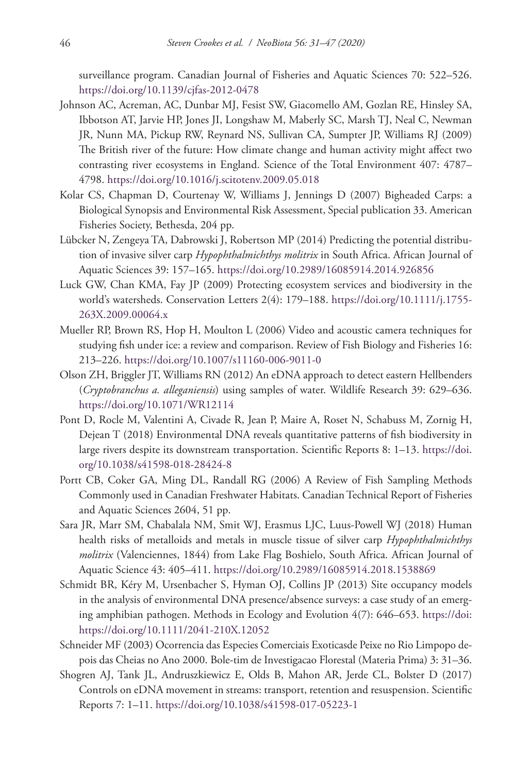surveillance program. Canadian Journal of Fisheries and Aquatic Sciences 70: 522–526. <https://doi.org/10.1139/cjfas-2012-0478>

- Johnson AC, Acreman, AC, Dunbar MJ, Fesist SW, Giacomello AM, Gozlan RE, Hinsley SA, Ibbotson AT, Jarvie HP, Jones JI, Longshaw M, Maberly SC, Marsh TJ, Neal C, Newman JR, Nunn MA, Pickup RW, Reynard NS, Sullivan CA, Sumpter JP, Williams RJ (2009) The British river of the future: How climate change and human activity might affect two contrasting river ecosystems in England. Science of the Total Environment 407: 4787– 4798.<https://doi.org/10.1016/j.scitotenv.2009.05.018>
- Kolar CS, Chapman D, Courtenay W, Williams J, Jennings D (2007) Bigheaded Carps: a Biological Synopsis and Environmental Risk Assessment, Special publication 33. American Fisheries Society, Bethesda, 204 pp.
- Lübcker N, Zengeya TA, Dabrowski J, Robertson MP (2014) Predicting the potential distribution of invasive silver carp *Hypophthalmichthys molitrix* in South Africa. African Journal of Aquatic Sciences 39: 157–165.<https://doi.org/10.2989/16085914.2014.926856>
- Luck GW, Chan KMA, Fay JP (2009) Protecting ecosystem services and biodiversity in the world's watersheds. Conservation Letters 2(4): 179–188. [https://doi.org/10.1111/j.1755-](https://doi.org/10.1111/j.1755-263X.2009.00064.x) [263X.2009.00064.x](https://doi.org/10.1111/j.1755-263X.2009.00064.x)
- Mueller RP, Brown RS, Hop H, Moulton L (2006) Video and acoustic camera techniques for studying fish under ice: a review and comparison. Review of Fish Biology and Fisheries 16: 213–226.<https://doi.org/10.1007/s11160-006-9011-0>
- Olson ZH, Briggler JT, Williams RN (2012) An eDNA approach to detect eastern Hellbenders (*Cryptobranchus a. alleganiensis*) using samples of water. Wildlife Research 39: 629–636. <https://doi.org/10.1071/WR12114>
- Pont D, Rocle M, Valentini A, Civade R, Jean P, Maire A, Roset N, Schabuss M, Zornig H, Dejean T (2018) Environmental DNA reveals quantitative patterns of fish biodiversity in large rivers despite its downstream transportation. Scientific Reports 8: 1–13. [https://doi.](https://doi.org/10.1038/s41598-018-28424-8) [org/10.1038/s41598-018-28424-8](https://doi.org/10.1038/s41598-018-28424-8)
- Portt CB, Coker GA, Ming DL, Randall RG (2006) A Review of Fish Sampling Methods Commonly used in Canadian Freshwater Habitats. Canadian Technical Report of Fisheries and Aquatic Sciences 2604, 51 pp.
- Sara JR, Marr SM, Chabalala NM, Smit WJ, Erasmus LJC, Luus-Powell WJ (2018) Human health risks of metalloids and metals in muscle tissue of silver carp *Hypophthalmichthys molitrix* (Valenciennes, 1844) from Lake Flag Boshielo, South Africa. African Journal of Aquatic Science 43: 405–411.<https://doi.org/10.2989/16085914.2018.1538869>
- Schmidt BR, Kéry M, Ursenbacher S, Hyman OJ, Collins JP (2013) Site occupancy models in the analysis of environmental DNA presence/absence surveys: a case study of an emerging amphibian pathogen. Methods in Ecology and Evolution 4(7): 646–653. [https://doi:](https://doi) <https://doi.org/10.1111/2041-210X.12052>
- Schneider MF (2003) Ocorrencia das Especies Comerciais Exoticasde Peixe no Rio Limpopo depois das Cheias no Ano 2000. Bole-tim de Investigacao Florestal (Materia Prima) 3: 31–36.
- Shogren AJ, Tank JL, Andruszkiewicz E, Olds B, Mahon AR, Jerde CL, Bolster D (2017) Controls on eDNA movement in streams: transport, retention and resuspension. Scientific Reports 7: 1–11. <https://doi.org/10.1038/s41598-017-05223-1>